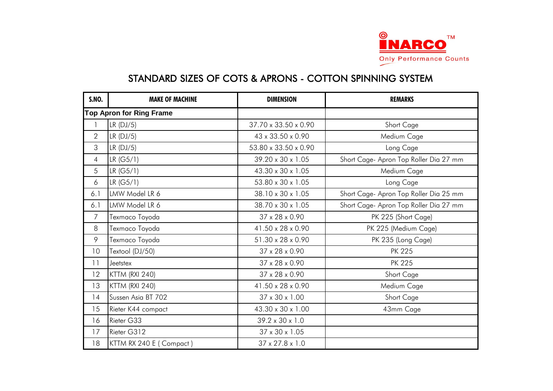

| <b>S.NO.</b>   | <b>MAKE OF MACHINE</b>          | <b>DIMENSION</b>            | <b>REMARKS</b>                         |
|----------------|---------------------------------|-----------------------------|----------------------------------------|
|                | <b>Top Apron for Ring Frame</b> |                             |                                        |
|                | $LR$ (DJ/5)                     | 37.70 x 33.50 x 0.90        | Short Cage                             |
| $\overline{2}$ | $LR$ (DJ/5)                     | 43 x 33.50 x 0.90           | Medium Cage                            |
| 3              | LR(DJ/5)                        | 53.80 x 33.50 x 0.90        | Long Cage                              |
| $\overline{4}$ | LR (G5/1)                       | 39.20 x 30 x 1.05           | Short Cage- Apron Top Roller Dia 27 mm |
| 5              | LR (G5/1)                       | 43.30 x 30 x 1.05           | Medium Cage                            |
| 6              | LR (G5/1)                       | 53.80 x 30 x 1.05           | Long Cage                              |
| 6.1            | LMW Model LR 6                  | 38.10 x 30 x 1.05           | Short Cage- Apron Top Roller Dia 25 mm |
| 6.1            | LMW Model LR 6                  | 38.70 x 30 x 1.05           | Short Cage- Apron Top Roller Dia 27 mm |
| $\overline{7}$ | Texmaco Toyoda                  | 37 x 28 x 0.90              | PK 225 (Short Cage)                    |
| 8              | Texmaco Toyoda                  | 41.50 x 28 x 0.90           | PK 225 (Medium Cage)                   |
| 9              | Texmaco Toyoda                  | 51.30 x 28 x 0.90           | PK 235 (Long Cage)                     |
| 10             | Textool (DJ/50)                 | 37 x 28 x 0.90              | <b>PK 225</b>                          |
| 11             | Jeetstex                        | $37 \times 28 \times 0.90$  | <b>PK 225</b>                          |
| 12             | KTTM (RXI 240)                  | 37 x 28 x 0.90              | Short Cage                             |
| 13             | KTTM (RXI 240)                  | 41.50 x 28 x 0.90           | Medium Cage                            |
| 14             | Sussen Asia BT 702              | 37 x 30 x 1.00              | Short Cage                             |
| 15             | Rieter K44 compact              | 43.30 x 30 x 1.00           | 43mm Cage                              |
| 16             | Rieter G33                      | $39.2 \times 30 \times 1.0$ |                                        |
| 17             | Rieter G312                     | $37 \times 30 \times 1.05$  |                                        |
| 18             | KTTM RX 240 E (Compact)         | $37 \times 27.8 \times 1.0$ |                                        |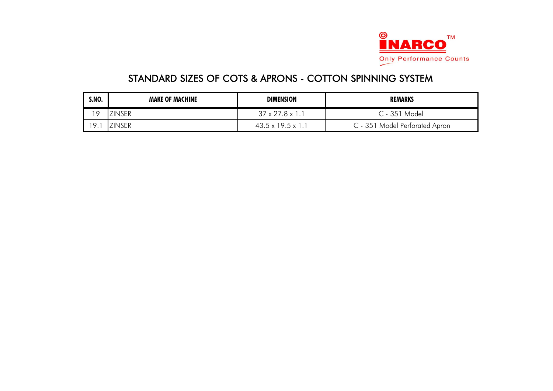

| <b>S.NO.</b> | <b>MAKE OF MACHINE</b> | <b>DIMENSION</b>              | <b>REMARKS</b>                 |
|--------------|------------------------|-------------------------------|--------------------------------|
| 19           | <b>ZINSER</b>          | $37 \times 27.8 \times 1.1$   | C - 351 Model                  |
| 19.          | <b>ZINSER</b>          | $43.5 \times 19.5 \times 1$ . | C - 351 Model Perforated Apron |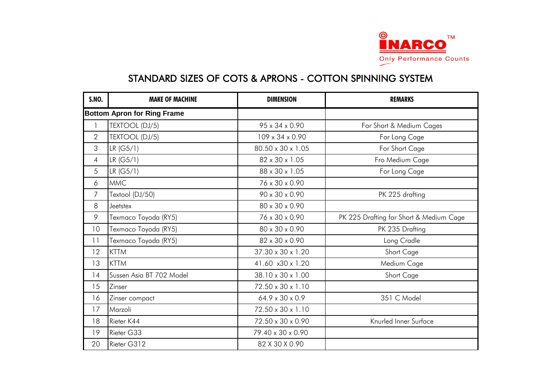

| <b>S.NO.</b>   | <b>MAKE OF MACHINE</b>             | <b>DIMENSION</b>            | <b>REMARKS</b>                          |
|----------------|------------------------------------|-----------------------------|-----------------------------------------|
|                | <b>Bottom Apron for Ring Frame</b> |                             |                                         |
|                | TEXTOOL (DJ/5)                     | 95 x 34 x 0.90              | For Short & Medium Cages                |
| $\overline{2}$ | TEXTOOL (DJ/5)                     | 109 x 34 x 0.90             | For Long Cage                           |
| 3              | LR (G5/1)                          | 80.50 x 30 x 1.05           | For Short Cage                          |
| 4              | LR (G5/1)                          | 82 x 30 x 1.05              | Fro Medium Cage                         |
| 5              | LR (G5/1)                          | 88 x 30 x 1.05              | For Long Cage                           |
| 6              | <b>MMC</b>                         | 76 x 30 x 0.90              |                                         |
| 7              | Textool (DJ/50)                    | 90 x 30 x 0.90              | PK 225 drafting                         |
| 8              | Jeetstex                           | 80 x 30 x 0.90              |                                         |
| 9              | Texmaco Toyoda (RY5)               | 76 x 30 x 0.90              | PK 225 Drafting for Short & Medium Cage |
| 10             | Texmaco Toyoda (RY5)               | 80 x 30 x 0.90              | PK 235 Drafting                         |
| 11             | Texmaco Toyoda (RY5)               | 82 x 30 x 0.90              | Long Cradle                             |
| 12             | <b>KTTM</b>                        | 37.30 x 30 x 1.20           | Short Cage                              |
| 13             | <b>KTTM</b>                        | 41.60 x30 x 1.20            | Medium Cage                             |
| 14             | Sussen Asia BT 702 Model           | 38.10 x 30 x 1.00           | Short Cage                              |
| 15             | Zinser                             | 72.50 x 30 x 1.10           |                                         |
| 16             | Zinser compact                     | $64.9 \times 30 \times 0.9$ | 351 C Model                             |
| 17             | Marzoli                            | 72.50 x 30 x 1.10           |                                         |
| 18             | Rieter K44                         | 72.50 x 30 x 0.90           | Knurled Inner Surface                   |
| 19             | Rieter G33                         | 79.40 x 30 x 0.90           |                                         |
| 20             | Rieter G312                        | 82 X 30 X 0.90              |                                         |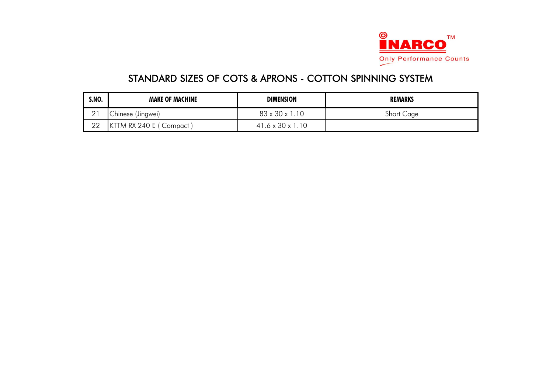

| S.NO.          | <b>MAKE OF MACHINE</b>  | <b>DIMENSION</b>             | <b>REMARKS</b> |
|----------------|-------------------------|------------------------------|----------------|
| $\cap$ 1<br>∠∣ | Chinese (Jingwei)       | $83 \times 30 \times 1.10$   | Short Cage     |
| 22             | KTTM RX 240 E (Compact) | $41.6 \times 30 \times 1.10$ |                |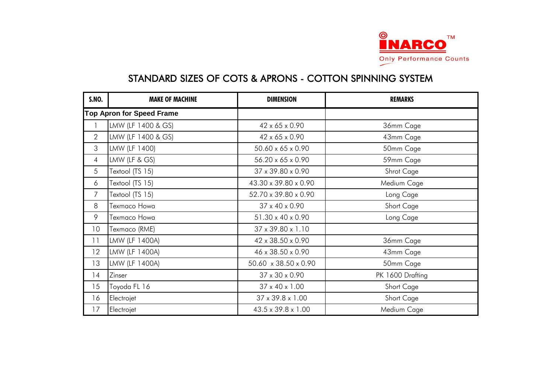

| <b>S.NO.</b>   | <b>MAKE OF MACHINE</b>           | <b>DIMENSION</b>             | <b>REMARKS</b>   |
|----------------|----------------------------------|------------------------------|------------------|
|                | <b>Top Apron for Speed Frame</b> |                              |                  |
|                | LMW (LF 1400 & GS)               | 42 x 65 x 0.90               | 36mm Cage        |
| $\mathbf{2}$   | LMW (LF 1400 & GS)               | 42 x 65 x 0.90               | 43mm Cage        |
| 3              | LMW (LF 1400)                    | 50.60 x 65 x 0.90            | 50mm Cage        |
| $\overline{4}$ | LMW (LF & GS)                    | 56.20 x 65 x 0.90            | 59mm Cage        |
| 5              | Textool (TS 15)                  | 37 x 39.80 x 0.90            | Shrot Cage       |
| 6              | Textool (TS 15)                  | 43.30 x 39.80 x 0.90         | Medium Cage      |
| $\overline{7}$ | Textool (TS 15)                  | 52.70 x 39.80 x 0.90         | Long Cage        |
| 8              | Texmaco Howa                     | 37 x 40 x 0.90               | Short Cage       |
| 9              | Texmaco Howa                     | 51.30 x 40 x 0.90            | Long Cage        |
| 10             | Texmaco (RME)                    | 37 x 39.80 x 1.10            |                  |
| 11             | LMW (LF 1400A)                   | 42 x 38.50 x 0.90            | 36mm Cage        |
| 12             | LMW (LF 1400A)                   | 46 x 38.50 x 0.90            | 43mm Cage        |
| 13             | LMW (LF 1400A)                   | 50.60 x 38.50 x 0.90         | 50mm Cage        |
| 14             | Zinser                           | 37 x 30 x 0.90               | PK 1600 Drafting |
| 15             | Toyoda FL 16                     | $37 \times 40 \times 1.00$   | Short Cage       |
| 16             | Electrojet                       | $37 \times 39.8 \times 1.00$ | Short Cage       |
| 17             | Electrojet                       | 43.5 x 39.8 x 1.00           | Medium Cage      |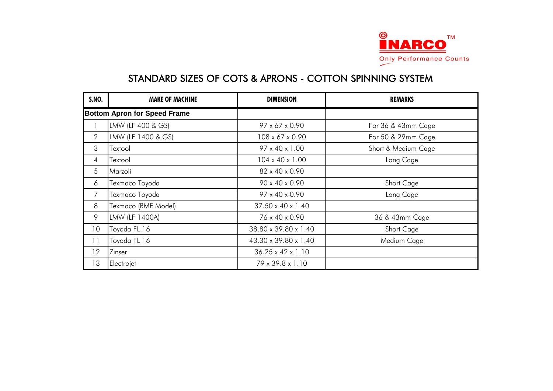

| <b>S.NO.</b>   | <b>MAKE OF MACHINE</b>              | <b>DIMENSION</b>              | <b>REMARKS</b>      |
|----------------|-------------------------------------|-------------------------------|---------------------|
|                | <b>Bottom Apron for Speed Frame</b> |                               |                     |
|                | LMW (LF 400 & GS)                   | 97 x 67 x 0.90                | For 36 & 43mm Cage  |
| $\overline{2}$ | LMW (LF 1400 & GS)                  | 108 x 67 x 0.90               | For 50 & 29mm Cage  |
| 3              | Textool                             | 97 x 40 x 1.00                | Short & Medium Cage |
| 4              | Textool                             | $104 \times 40 \times 1.00$   | Long Cage           |
| 5              | Marzoli                             | 82 x 40 x 0.90                |                     |
| 6              | Texmaco Toyoda                      | 90 x 40 x 0.90                | Short Cage          |
| 7              | Texmaco Toyoda                      | 97 x 40 x 0.90                | Long Cage           |
| 8              | Texmaco (RME Model)                 | 37.50 x 40 x 1.40             |                     |
| 9              | LMW (LF 1400A)                      | 76 x 40 x 0.90                | 36 & 43mm Cage      |
| 10             | Toyoda FL 16                        | 38.80 x 39.80 x 1.40          | Short Cage          |
| 11             | Toyoda FL 16                        | 43.30 x 39.80 x 1.40          | Medium Cage         |
| 12             | Zinser                              | $36.25 \times 42 \times 1.10$ |                     |
| 13             | Electrojet                          | 79 x 39.8 x 1.10              |                     |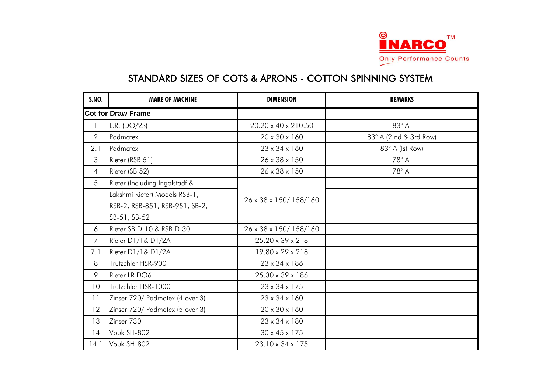

| <b>S.NO.</b>   | <b>MAKE OF MACHINE</b>          | <b>DIMENSION</b>          | <b>REMARKS</b>         |
|----------------|---------------------------------|---------------------------|------------------------|
|                | <b>Cot for Draw Frame</b>       |                           |                        |
|                | L.R. (DO/2S)                    | 20.20 x 40 x 210.50       | $83^\circ$ A           |
| $\overline{2}$ | Padmatex                        | 20 x 30 x 160             | 83° A (2 nd & 3rd Row) |
| 2.1            | Padmatex                        | 23 x 34 x 160             | 83° A (Ist Row)        |
| 3              | Rieter (RSB 51)                 | 26 x 38 x 150             | $78^\circ$ A           |
| $\overline{4}$ | Rieter (SB 52)                  | 26 x 38 x 150             | $78^\circ$ A           |
| 5              | Rieter (Including Ingolstadf &  |                           |                        |
|                | Lakshmi Rieter) Models RSB-1,   | 26 x 38 x 150/158/160     |                        |
|                | RSB-2, RSB-851, RSB-951, SB-2,  |                           |                        |
|                | SB-51, SB-52                    |                           |                        |
| 6              | Rieter SB D-10 & RSB D-30       | 26 x 38 x 150/158/160     |                        |
| $\overline{7}$ | Rieter D1/1& D1/2A              | 25.20 x 39 x 218          |                        |
| 7.1            | Rieter D1/1& D1/2A              | 19.80 x 29 x 218          |                        |
| 8              | Trutzchler HSR-900              | 23 x 34 x 186             |                        |
| 9              | Rieter LR DO6                   | 25.30 x 39 x 186          |                        |
| 10             | Trutzchler HSR-1000             | 23 x 34 x 175             |                        |
| 11             | Zinser 720/ Padmatex (4 over 3) | 23 x 34 x 160             |                        |
| 12             | Zinser 720/ Padmatex (5 over 3) | 20 x 30 x 160             |                        |
| 13             | Zinser 730                      | 23 x 34 x 180             |                        |
| 14             | Vouk SH-802                     | $30 \times 45 \times 175$ |                        |
| 4.1            | Vouk SH-802                     | 23.10 x 34 x 175          |                        |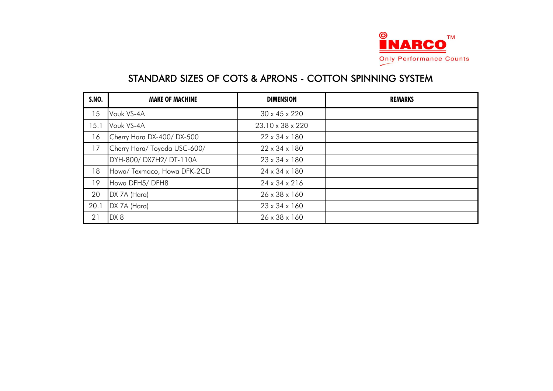

| <b>S.NO.</b> | <b>MAKE OF MACHINE</b>       | <b>DIMENSION</b>          | <b>REMARKS</b> |
|--------------|------------------------------|---------------------------|----------------|
| 15           | Vouk VS-4A                   | $30 \times 45 \times 220$ |                |
| 15.1         | Vouk VS-4A                   | 23.10 x 38 x 220          |                |
| 16           | Cherry Hara DX-400/DX-500    | $22 \times 34 \times 180$ |                |
| 17           | Cherry Hara/ Toyoda USC-600/ | $22 \times 34 \times 180$ |                |
|              | DYH-800/DX7H2/DT-110A        | $23 \times 34 \times 180$ |                |
| 18           | Howa/ Texmaco, Howa DFK-2CD  | 24 x 34 x 180             |                |
| 19           | Howa DFH5/DFH8               | $24 \times 34 \times 216$ |                |
| 20           | DX 7A (Hara)                 | $26 \times 38 \times 160$ |                |
| 20.1         | DX 7A (Hara)                 | $23 \times 34 \times 160$ |                |
| 21           | DX8                          | $26 \times 38 \times 160$ |                |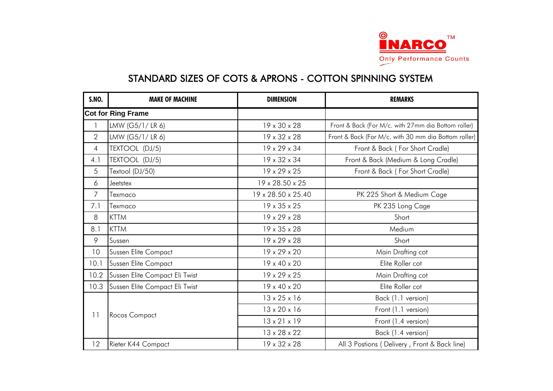

| <b>S.NO.</b>   | <b>MAKE OF MACHINE</b>         | <b>DIMENSION</b>         | <b>REMARKS</b>                                       |
|----------------|--------------------------------|--------------------------|------------------------------------------------------|
|                | <b>Cot for Ring Frame</b>      |                          |                                                      |
|                | LMW (G5/1/LR6)                 | 19 x 30 x 28             | Front & Back (For M/c. with 27mm dia Bottom roller)  |
| $\overline{2}$ | LMW (G5/1/LR6)                 | 19 x 32 x 28             | Front & Back (For M/c. with 30 mm dia Bottom roller) |
| $\overline{4}$ | TEXTOOL (DJ/5)                 | 19 x 29 x 34             | Front & Back (For Short Cradle)                      |
| 4.1            | TEXTOOL (DJ/5)                 | 19 x 32 x 34             | Front & Back (Medium & Long Cradle)                  |
| 5              | Textool (DJ/50)                | $19 \times 29 \times 25$ | Front & Back (For Short Cradle)                      |
| 6              | Jeetstex                       | 19 x 28.50 x 25          |                                                      |
| $\overline{7}$ | Texmaco                        | 19 x 28.50 x 25.40       | PK 225 Short & Medium Cage                           |
| 7.1            | Texmaco                        | 19 x 35 x 25             | PK 235 Long Cage                                     |
| 8              | <b>KTTM</b>                    | $19 \times 29 \times 28$ | Short                                                |
| 8.1            | <b>KTTM</b>                    | $19 \times 35 \times 28$ | Medium                                               |
| 9              | Sussen                         | $19 \times 29 \times 28$ | Short                                                |
| 10             | Sussen Elite Compact           | 19 x 29 x 20             | Main Drafting cot                                    |
| 10.1           | Sussen Elite Compact           | 19 x 40 x 20             | Elite Roller cot                                     |
| 10.2           | Sussen Elite Compact Eli Twist | $19 \times 29 \times 25$ | Main Drafting cot                                    |
| 10.3           | Sussen Elite Compact Eli Twist | 19 x 40 x 20             | Elite Roller cot                                     |
|                |                                | $13 \times 25 \times 16$ | Back (1.1 version)                                   |
| 11             |                                | $13 \times 20 \times 16$ | Front (1.1 version)                                  |
|                | Rocos Compact                  | $13 \times 21 \times 19$ | Front (1.4 version)                                  |
|                |                                | 13 x 28 x 22             | Back (1.4 version)                                   |
| 12             | Rieter K44 Compact             | 19 x 32 x 28             | All 3 Postions (Delivery, Front & Back line)         |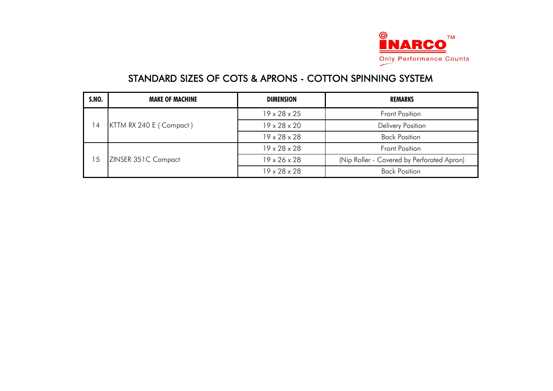

| <b>S.NO.</b>   | <b>MAKE OF MACHINE</b>  | <b>DIMENSION</b>         | <b>REMARKS</b>                             |
|----------------|-------------------------|--------------------------|--------------------------------------------|
|                | KTTM RX 240 E (Compact) | $19 \times 28 \times 25$ | <b>Front Position</b>                      |
| $\overline{4}$ |                         | $19 \times 28 \times 20$ | <b>Delivery Position</b>                   |
|                |                         | $19 \times 28 \times 28$ | <b>Back Position</b>                       |
| 5،             | ZINSER 351C Compact     | $19 \times 28 \times 28$ | <b>Front Position</b>                      |
|                |                         | $19 \times 26 \times 28$ | (Nip Roller - Covered by Perforated Apron) |
|                |                         | $19 \times 28 \times 28$ | <b>Back Position</b>                       |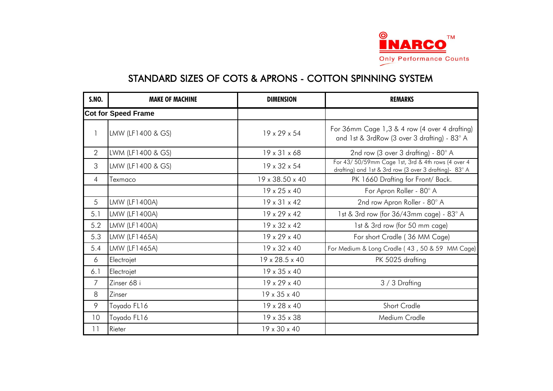

| <b>S.NO.</b>   | <b>MAKE OF MACHINE</b>     | <b>DIMENSION</b>           | <b>REMARKS</b>                                                                                              |
|----------------|----------------------------|----------------------------|-------------------------------------------------------------------------------------------------------------|
|                | <b>Cot for Speed Frame</b> |                            |                                                                                                             |
| $\mathsf{I}$   | LMW (LF1400 & GS)          | $19 \times 29 \times 54$   | For 36mm Cage 1,3 & 4 row (4 over 4 drafting)<br>and 1st & 3rdRow (3 over 3 drafting) - 83° A               |
| $\overline{2}$ | LWM (LF1400 & GS)          | $19 \times 31 \times 68$   | 2nd row (3 over 3 drafting) - $80^\circ$ A                                                                  |
| 3              | LMW (LF1400 & GS)          | $19 \times 32 \times 54$   | For 43/50/59mm Cage 1st, 3rd & 4th rows (4 over 4<br>drafting) and 1st & 3rd row (3 over 3 drafting)- 83° A |
| $\overline{4}$ | Texmaco                    | 19 x 38.50 x 40            | PK 1660 Drafting for Front/ Back.                                                                           |
|                |                            | $19 \times 25 \times 40$   | For Apron Roller - 80° A                                                                                    |
| 5              | LMW (LF1400A)              | $19 \times 31 \times 42$   | 2nd row Apron Roller - 80° A                                                                                |
| 5.1            | LMW (LF1400A)              | $19 \times 29 \times 42$   | 1st & 3rd row (for 36/43mm cage) - 83° A                                                                    |
| 5.2            | LMW (LF1400A)              | $19 \times 32 \times 42$   | 1st & 3rd row (for 50 mm cage)                                                                              |
| 5.3            | LMW (LF1465A)              | $19 \times 29 \times 40$   | For short Cradle (36 MM Cage)                                                                               |
| 5.4            | LMW (LF1465A)              | $19 \times 32 \times 40$   | For Medium & Long Cradle (43, 50 & 59 MM Cage)                                                              |
| 6              | Electrojet                 | $19 \times 28.5 \times 40$ | PK 5025 drafting                                                                                            |
| 6.1            | Electrojet                 | $19 \times 35 \times 40$   |                                                                                                             |
| 7              | Zinser 68 i                | 19 x 29 x 40               | 3 / 3 Drafting                                                                                              |
| 8              | Zinser                     | 19 x 35 x 40               |                                                                                                             |
| 9              | Toyado FL16                | $19 \times 28 \times 40$   | Short Cradle                                                                                                |
| 10             | Toyado FL16                | $19 \times 35 \times 38$   | Medium Cradle                                                                                               |
| 11             | Rieter                     | $19 \times 30 \times 40$   |                                                                                                             |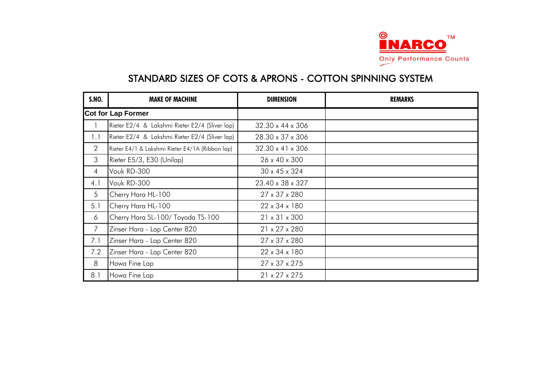

| <b>S.NO.</b>   | <b>MAKE OF MACHINE</b>                          | <b>DIMENSION</b>          | <b>REMARKS</b> |
|----------------|-------------------------------------------------|---------------------------|----------------|
|                | <b>Cot for Lap Former</b>                       |                           |                |
|                | Rieter E2/4 & Lakshmi Rieter E2/4 (Sliver lap)  | 32.30 x 44 x 306          |                |
| 1.1            | Rieter E2/4 & Lakshmi Rieter E2/4 (Sliver lap)  | 28.30 x 37 x 306          |                |
| $\overline{2}$ | Rieter E4/1 & Lakshmi Rieter E4/1A (Ribbon lap) | 32.30 x 41 x 306          |                |
| 3              | Rieter E5/3, E30 (Unilap)                       | 26 x 40 x 300             |                |
| 4              | Vouk RD-300                                     | $30 \times 45 \times 324$ |                |
| 4.1            | Vouk RD-300                                     | 23.40 x 38 x 327          |                |
| 5              | Cherry Hara HL-100                              | 27 x 37 x 280             |                |
| 5.1            | Cherry Hara HL-100                              | 22 x 34 x 180             |                |
| 6              | Cherry Hara SL-100/ Toyoda TS-100               | $21 \times 31 \times 300$ |                |
| $\overline{7}$ | Zinser Hara - Lap Center 820                    | 21 x 27 x 280             |                |
| 7.1            | Zinser Hara - Lap Center 820                    | 27 x 37 x 280             |                |
| 7.2            | Zinser Hara - Lap Center 820                    | 22 x 34 x 180             |                |
| 8              | Howa Fine Lap                                   | 27 x 37 x 275             |                |
| 8.1            | Howa Fine Lap                                   | $21 \times 27 \times 275$ |                |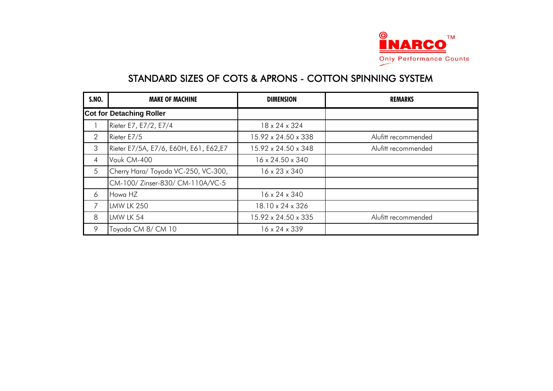

| <b>S.NO.</b>   | <b>MAKE OF MACHINE</b>                | <b>DIMENSION</b>          | <b>REMARKS</b>      |
|----------------|---------------------------------------|---------------------------|---------------------|
|                | <b>Cot for Detaching Roller</b>       |                           |                     |
|                | Rieter E7, E7/2, E7/4                 | 18 x 24 x 324             |                     |
| $\overline{2}$ | Rieter E7/5                           | 15.92 x 24.50 x 338       | Alufitt recommended |
| 3              | Rieter E7/5A, E7/6, E60H, E61, E62,E7 | 15.92 x 24.50 x 348       | Alufitt recommended |
| 4              | Vouk CM-400                           | 16 x 24.50 x 340          |                     |
| 5              | Cherry Hara/ Toyoda VC-250, VC-300,   | $16 \times 23 \times 340$ |                     |
|                | CM-100/ Zinser-830/ CM-110A/VC-5      |                           |                     |
| 6              | Howa HZ                               | $16 \times 24 \times 340$ |                     |
| 7              | <b>LMW LK 250</b>                     | 18.10 x 24 x 326          |                     |
| 8              | LMW LK 54                             | 15.92 x 24.50 x 335       | Alufitt recommended |
| 9              | Toyoda CM 8/ CM 10                    | $16 \times 24 \times 339$ |                     |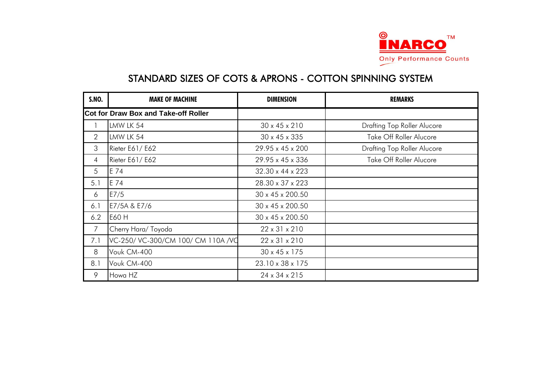

| <b>S.NO.</b>   | <b>MAKE OF MACHINE</b>                      | <b>DIMENSION</b>          | <b>REMARKS</b>                     |
|----------------|---------------------------------------------|---------------------------|------------------------------------|
|                | <b>Cot for Draw Box and Take-off Roller</b> |                           |                                    |
|                | LMW LK 54                                   | $30 \times 45 \times 210$ | <b>Drafting Top Roller Alucore</b> |
| 2              | LMW LK 54                                   | 30 x 45 x 335             | Take Off Roller Alucore            |
| 3              | Rieter E61/E62                              | 29.95 x 45 x 200          | <b>Drafting Top Roller Alucore</b> |
| 4              | Rieter E61/E62                              | 29.95 x 45 x 336          | Take Off Roller Alucore            |
| 5              | E 74                                        | 32.30 x 44 x 223          |                                    |
| 5.1            | E 74                                        | 28.30 x 37 x 223          |                                    |
| 6              | E7/5                                        | 30 x 45 x 200.50          |                                    |
| 6.1            | E7/5A & E7/6                                | 30 x 45 x 200.50          |                                    |
| 6.2            | E60 H                                       | 30 x 45 x 200.50          |                                    |
| $\overline{7}$ | Cherry Hara/ Toyoda                         | $22 \times 31 \times 210$ |                                    |
| 7.1            | VC-250/ VC-300/CM 100/ CM 110A /VC          | $22 \times 31 \times 210$ |                                    |
| 8              | Vouk CM-400                                 | 30 x 45 x 175             |                                    |
| 8.1            | Vouk CM-400                                 | 23.10 x 38 x 175          |                                    |
| 9              | Howa HZ                                     | 24 x 34 x 215             |                                    |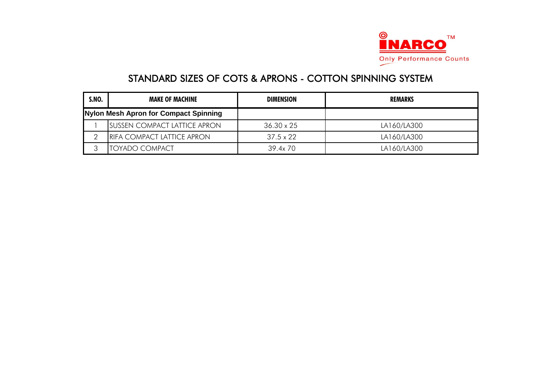

| <b>S.NO.</b> | <b>MAKE OF MACHINE</b>                | <b>DIMENSION</b>  | <b>REMARKS</b> |
|--------------|---------------------------------------|-------------------|----------------|
|              | Nylon Mesh Apron for Compact Spinning |                   |                |
|              | <b>ISUSSEN COMPACT LATTICE APRON</b>  | $36.30 \times 25$ | LA160/LA300    |
|              | <b>RIFA COMPACT LATTICE APRON</b>     | $37.5 \times 22$  | LA160/LA300    |
|              | ITOYADO COMPACT                       | 39.4x 70          | LA160/LA300    |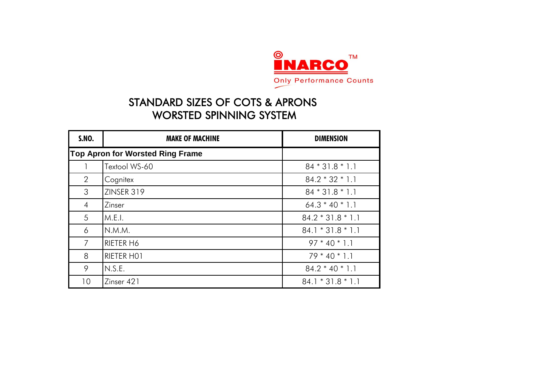

| <b>S.NO.</b>   | <b>MAKE OF MACHINE</b>                  | <b>DIMENSION</b>    |
|----------------|-----------------------------------------|---------------------|
|                | <b>Top Apron for Worsted Ring Frame</b> |                     |
|                | Textool WS-60                           | $84 * 31.8 * 1.1$   |
| $\overline{2}$ | Cognitex                                | $84.2 * 32 * 1.1$   |
| 3              | ZINSER 319                              | $84 * 31.8 * 1.1$   |
| 4              | Zinser                                  | $64.3 * 40 * 1.1$   |
| 5              | M.E.I.                                  | $84.2 * 31.8 * 1.1$ |
| 6              | N.M.M.                                  | $84.1 * 31.8 * 1.1$ |
| 7              | RIETER H6                               | $97 * 40 * 1.1$     |
| 8              | RIETER HOT                              | $79 * 40 * 1.1$     |
| 9              | N.S.E.                                  | $84.2 * 40 * 1.1$   |
| 10             | Zinser 421                              | $84.1 * 31.8 * 1.1$ |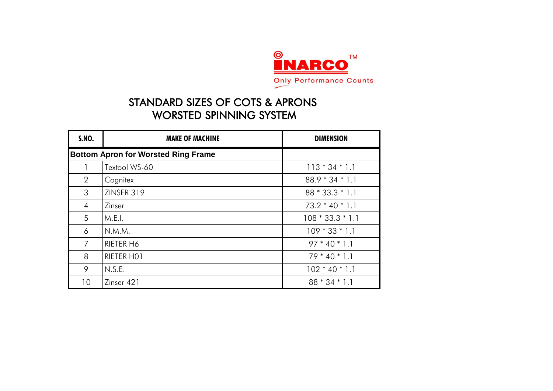

| <b>S.NO.</b>   | <b>MAKE OF MACHINE</b>                     | <b>DIMENSION</b>   |
|----------------|--------------------------------------------|--------------------|
|                | <b>Bottom Apron for Worsted Ring Frame</b> |                    |
|                | Textool WS-60                              | $113 * 34 * 1.1$   |
| $\overline{2}$ | Cognitex                                   | $88.9 * 34 * 1.1$  |
| 3              | ZINSER 319                                 | $88 * 33.3 * 1.1$  |
| $\overline{4}$ | Zinser                                     | $73.2 * 40 * 1.1$  |
| 5              | M.E.I.                                     | $108 * 33.3 * 1.1$ |
| 6              | N.M.M.                                     | $109 * 33 * 1.1$   |
| 7              | RIETER H6                                  | $97 * 40 * 1.1$    |
| 8              | RIETER HOT                                 | $79 * 40 * 1.1$    |
| 9              | N.S.E.                                     | $102 * 40 * 1.1$   |
| 10             | Zinser 421                                 | $88 * 34 * 1.1$    |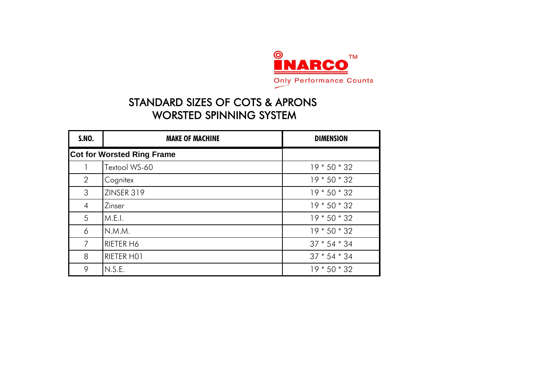

| <b>S.NO.</b>   | <b>MAKE OF MACHINE</b>            | <b>DIMENSION</b> |
|----------------|-----------------------------------|------------------|
|                | <b>Cot for Worsted Ring Frame</b> |                  |
|                | Textool WS-60                     | $19 * 50 * 32$   |
| 2              | Cognitex                          | $19 * 50 * 32$   |
| 3              | ZINSER 319                        | $19 * 50 * 32$   |
| $\overline{4}$ | Zinser                            | $19 * 50 * 32$   |
| 5              | M.E.I.                            | $19 * 50 * 32$   |
| 6              | N.M.M.                            | $19 * 50 * 32$   |
| $\overline{7}$ | RIETER H6                         | $37 * 54 * 34$   |
| 8              | RIETER HOT                        | $37 * 54 * 34$   |
| 9              | N.S.E.                            | $19 * 50 * 32$   |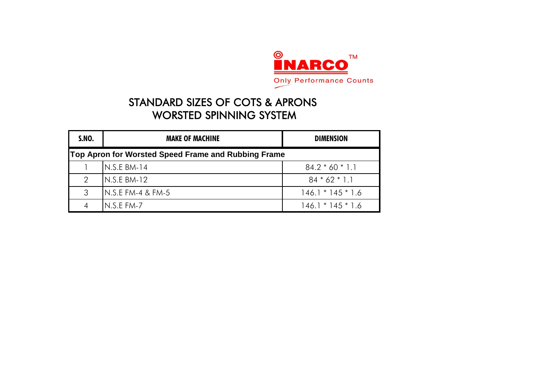

| <b>S.NO.</b> | <b>MAKE OF MACHINE</b>                              | <b>DIMENSION</b>    |  |  |
|--------------|-----------------------------------------------------|---------------------|--|--|
|              | Top Apron for Worsted Speed Frame and Rubbing Frame |                     |  |  |
|              | $IN.S.E BM-14$                                      | $84.2 * 60 * 1.1$   |  |  |
| 2            | $IN.S.E BM-12$                                      | $84 * 62 * 1.1$     |  |  |
| 3            | $IN.S.E FM-4 & FM-5$                                | $146.1 * 145 * 1.6$ |  |  |
|              | $N.S.EFM-7$                                         | $146.1 * 145 * 1.6$ |  |  |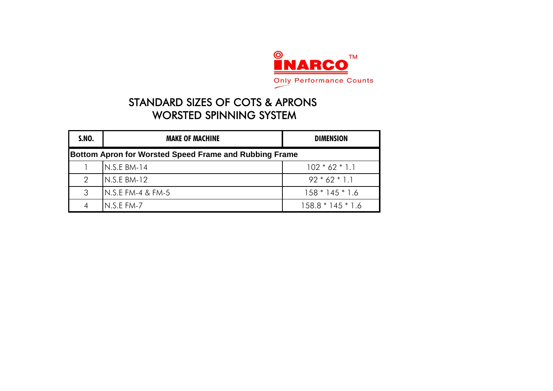

| <b>S.NO.</b>  | <b>MAKE OF MACHINE</b>                                        | <b>DIMENSION</b>    |  |  |
|---------------|---------------------------------------------------------------|---------------------|--|--|
|               | <b>Bottom Apron for Worsted Speed Frame and Rubbing Frame</b> |                     |  |  |
|               | $N.S.E$ BM-14                                                 | $102 * 62 * 1.1$    |  |  |
| $\mathcal{P}$ | $N.S.E$ BM-12                                                 | $92 * 62 * 1.1$     |  |  |
| 3             | N.S.E FM-4 & FM-5                                             | $158 * 145 * 1.6$   |  |  |
|               | $N.S.EFM-7$                                                   | $158.8 * 145 * 1.6$ |  |  |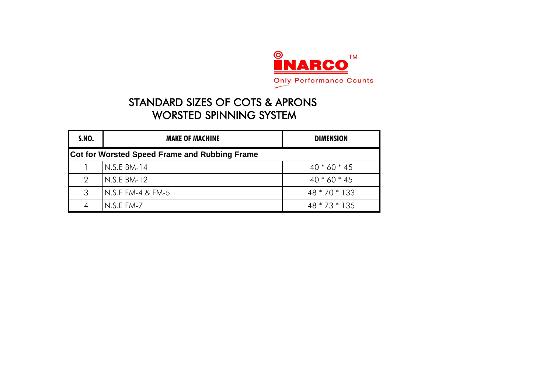

| <b>S.NO.</b> | <b>MAKE OF MACHINE</b>                               | <b>DIMENSION</b> |  |  |
|--------------|------------------------------------------------------|------------------|--|--|
|              | <b>Cot for Worsted Speed Frame and Rubbing Frame</b> |                  |  |  |
|              | $N.S.E$ BM-14                                        | $40 * 60 * 45$   |  |  |
| 2            | $N.S.E$ BM-12                                        | $40 * 60 * 45$   |  |  |
| 3            | <b>I</b> N.S.E FM-4 & FM-5                           | 48 * 70 * 133    |  |  |
|              | $IN.S.E FM-7$                                        | 48 * 73 * 135    |  |  |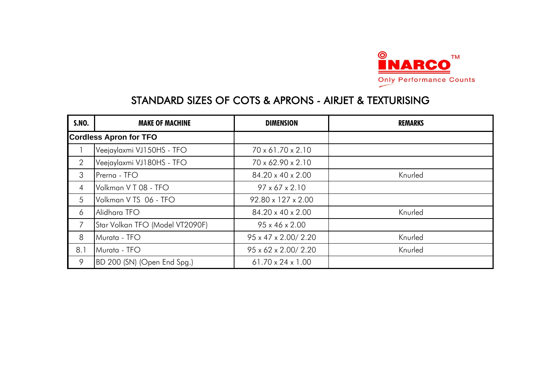

| <b>S.NO.</b>   | <b>MAKE OF MACHINE</b>          | <b>DIMENSION</b>                  | <b>REMARKS</b> |
|----------------|---------------------------------|-----------------------------------|----------------|
|                | <b>Cordless Apron for TFO</b>   |                                   |                |
|                | Veejaylaxmi VJ150HS - TFO       | 70 x 61.70 x 2.10                 |                |
| $\overline{2}$ | Veejaylaxmi VJ180HS - TFO       | 70 x 62.90 x 2.10                 |                |
| 3              | Prerna - TFO                    | 84.20 x 40 x 2.00                 | Knurled        |
| $\overline{4}$ | Volkman VT 08 - TFO             | $97 \times 67 \times 2.10$        |                |
| 5              | Volkman VTS 06 - TFO            | $92.80 \times 127 \times 2.00$    |                |
| 6              | Alidhara TFO                    | 84.20 x 40 x 2.00                 | Knurled        |
| 7              | Star Volkan TFO (Model VT2090F) | $95 \times 46 \times 2.00$        |                |
| 8              | Murata - TFO                    | 95 x 47 x 2.00/2.20               | Knurled        |
| 8.1            | Murata - TFO                    | $95 \times 62 \times 2.00 / 2.20$ | Knurled        |
| 9              | BD 200 (SN) (Open End Spg.)     | $61.70 \times 24 \times 1.00$     |                |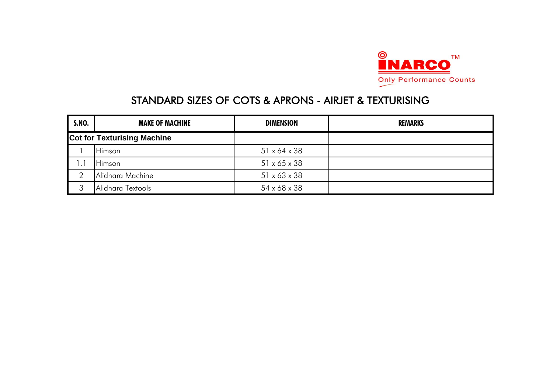

| <b>S.NO.</b>         | <b>MAKE OF MACHINE</b>             | <b>DIMENSION</b>         | <b>REMARKS</b> |
|----------------------|------------------------------------|--------------------------|----------------|
|                      | <b>Cot for Texturising Machine</b> |                          |                |
|                      | <b>Himson</b>                      | $51 \times 64 \times 38$ |                |
| $\cdot$ <sup>1</sup> | <b>Himson</b>                      | $51 \times 65 \times 38$ |                |
|                      | Alidhara Machine                   | $51 \times 63 \times 38$ |                |
| ◠                    | Alidhara Textools                  | 54 x 68 x 38             |                |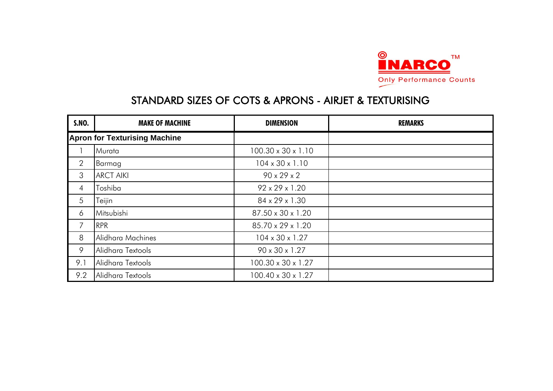

| <b>S.NO.</b>   | <b>MAKE OF MACHINE</b>               | <b>DIMENSION</b>            | <b>REMARKS</b> |
|----------------|--------------------------------------|-----------------------------|----------------|
|                | <b>Apron for Texturising Machine</b> |                             |                |
|                | Murata                               | 100.30 x 30 x 1.10          |                |
| $\overline{2}$ | Barmag                               | $104 \times 30 \times 1.10$ |                |
| 3              | <b>ARCT AIKI</b>                     | $90 \times 29 \times 2$     |                |
| $\overline{4}$ | Toshiba                              | $92 \times 29 \times 1.20$  |                |
| 5              | Teijin                               | 84 x 29 x 1.30              |                |
| 6              | Mitsubishi                           | 87.50 x 30 x 1.20           |                |
| 7              | <b>RPR</b>                           | 85.70 x 29 x 1.20           |                |
| 8              | Alidhara Machines                    | $104 \times 30 \times 1.27$ |                |
| 9              | Alidhara Textools                    | 90 x 30 x 1.27              |                |
| 9.1            | Alidhara Textools                    | 100.30 x 30 x 1.27          |                |
| 9.2            | Alidhara Textools                    | 100.40 x 30 x 1.27          |                |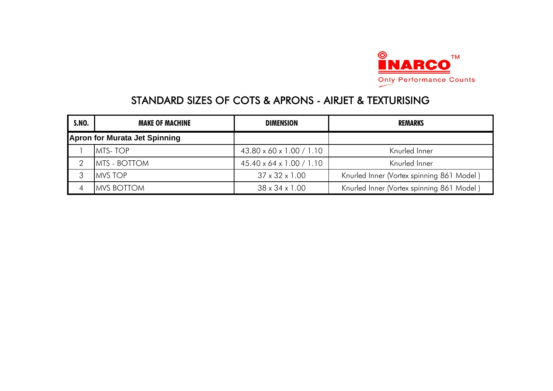

| <b>S.NO.</b> | <b>MAKE OF MACHINE</b>               | <b>DIMENSION</b>                     | <b>REMARKS</b>                            |
|--------------|--------------------------------------|--------------------------------------|-------------------------------------------|
|              | <b>Apron for Murata Jet Spinning</b> |                                      |                                           |
|              | <b>MTS-TOP</b>                       | $43.80 \times 60 \times 1.00 / 1.10$ | Knurled Inner                             |
|              | <b>MTS - BOTTOM</b>                  | $45.40 \times 64 \times 1.00 / 1.10$ | Knurled Inner                             |
|              | <b>MVS TOP</b>                       | $37 \times 32 \times 1.00$           | Knurled Inner (Vortex spinning 861 Model) |
|              | <b>MVS BOTTOM</b>                    | $38 \times 34 \times 1.00$           | Knurled Inner (Vortex spinning 861 Model) |